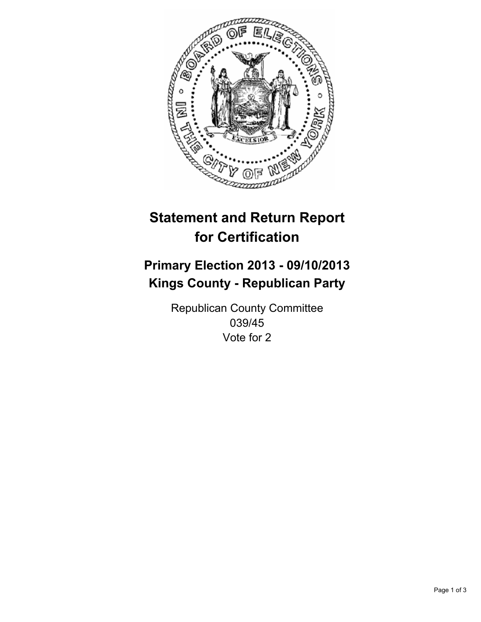

# **Statement and Return Report for Certification**

# **Primary Election 2013 - 09/10/2013 Kings County - Republican Party**

Republican County Committee 039/45 Vote for 2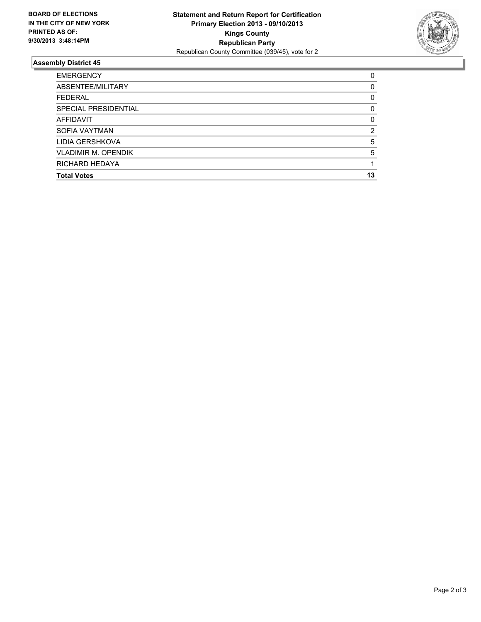

## **Assembly District 45**

| <b>EMERGENCY</b>           | 0        |
|----------------------------|----------|
| ABSENTEE/MILITARY          | 0        |
| <b>FEDERAL</b>             | 0        |
| SPECIAL PRESIDENTIAL       | 0        |
| AFFIDAVIT                  | $\Omega$ |
| <b>SOFIA VAYTMAN</b>       | 2        |
| LIDIA GERSHKOVA            | 5        |
| <b>VLADIMIR M. OPENDIK</b> | 5        |
| RICHARD HEDAYA             |          |
| <b>Total Votes</b>         | 13       |